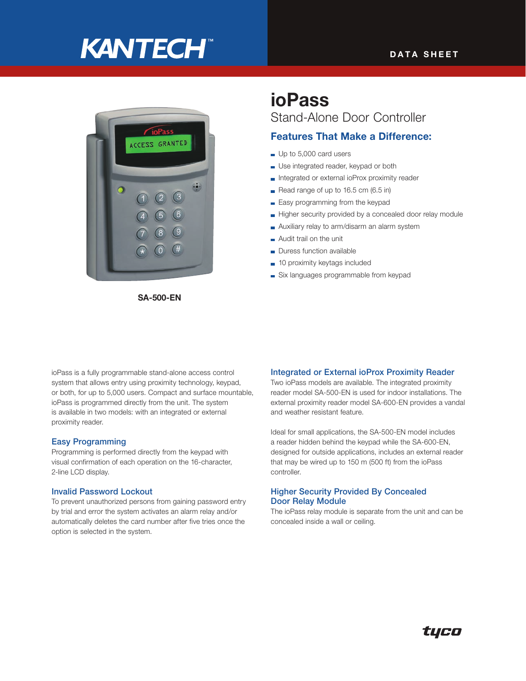# **KANTECH®**



SA-500-EN

# ioPass Stand-Alone Door Controller

### Features That Make a Difference:

- Up to 5,000 card users
- Use integrated reader, keypad or both
- Integrated or external ioProx proximity reader
- Read range of up to  $16.5$  cm  $(6.5 \text{ in})$
- **Easy programming from the keypad**
- Higher security provided by a concealed door relay module
- Auxiliary relay to arm/disarm an alarm system
- Audit trail on the unit
- Duress function available
- 10 proximity keytags included
- Six languages programmable from keypad

ioPass is a fully programmable stand-alone access control system that allows entry using proximity technology, keypad, or both, for up to 5,000 users. Compact and surface mountable, ioPass is programmed directly from the unit. The system is available in two models: with an integrated or external proximity reader.

#### Easy Programming

Programming is performed directly from the keypad with visual confirmation of each operation on the 16-character, 2-line LCD display.

#### Invalid Password Lockout

To prevent unauthorized persons from gaining password entry by trial and error the system activates an alarm relay and/or automatically deletes the card number after five tries once the option is selected in the system.

#### Integrated or External ioProx Proximity Reader

Two ioPass models are available. The integrated proximity reader model SA-500-EN is used for indoor installations. The external proximity reader model SA-600-EN provides a vandal and weather resistant feature.

Ideal for small applications, the SA-500-EN model includes a reader hidden behind the keypad while the SA-600-EN, designed for outside applications, includes an external reader that may be wired up to 150 m (500 ft) from the ioPass controller.

#### Higher Security Provided By Concealed Door Relay Module

The ioPass relay module is separate from the unit and can be concealed inside a wall or ceiling.